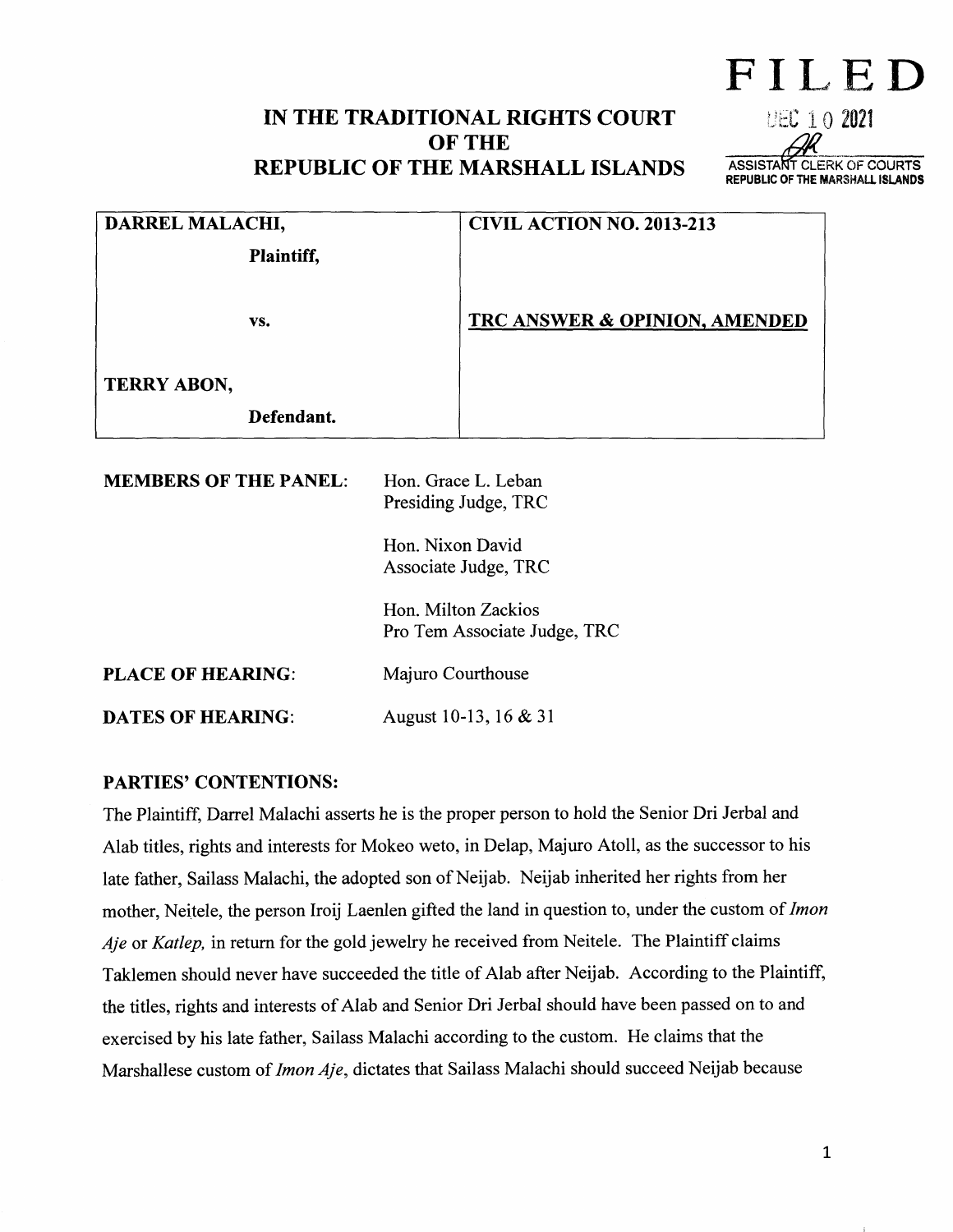# IN THE TRADITIONAL RIGHTS COURT OF THE REPUBLIC OF THE MARSHALL ISLANDS

UEC 1 0 2021 ASSISTANT CLERK OF COURTS REPUBLIC OF THE MARSHAlL ISLANDS

Fll~ED

| DARREL MALACHI,              |                                                                                                                                                | <b>CIVIL ACTION NO. 2013-213</b>         |
|------------------------------|------------------------------------------------------------------------------------------------------------------------------------------------|------------------------------------------|
| Plaintiff,                   |                                                                                                                                                |                                          |
| VS.                          |                                                                                                                                                | <b>TRC ANSWER &amp; OPINION, AMENDED</b> |
| <b>TERRY ABON,</b>           |                                                                                                                                                |                                          |
| Defendant.                   |                                                                                                                                                |                                          |
| <b>MEMBERS OF THE PANEL:</b> | Hon. Grace L. Leban<br>Presiding Judge, TRC<br>Hon. Nixon David<br>Associate Judge, TRC<br>Hon. Milton Zackios<br>Pro Tem Associate Judge, TRC |                                          |
| <b>PLACE OF HEARING:</b>     | Majuro Courthouse                                                                                                                              |                                          |
| <b>DATES OF HEARING:</b>     | August 10-13, 16 & 31                                                                                                                          |                                          |

#### PARTIES' CONTENTIONS:

The Plaintiff, Darrel Malachi asserts he is the proper person to hold the Senior Dri Jerbal and Alab titles, rights and interests for Mokeo weto, in Delap, Majuro Atoll, as the successor to his late father, Sailass Malachi, the adopted son of Neijab. Neijab inherited her rights from her mother, Neitele, the person Iroij Laenlen gifted the land in question to, under the custom of *Imon Aje* or *Katlep,* in return for the gold jewelry he received from Neitele. The Plaintiff claims Taklemen should never have succeeded the title of Alab after Neijab. According to the Plaintiff, the titles, rights and interests of Alab and Senior Dri Jerbal should have been passed on to and exercised by his late father, Sailass Malachi according to the custom. He claims that the Marshallese custom of *lmon Aje,* dictates that Sailass Malachi should succeed Neijab because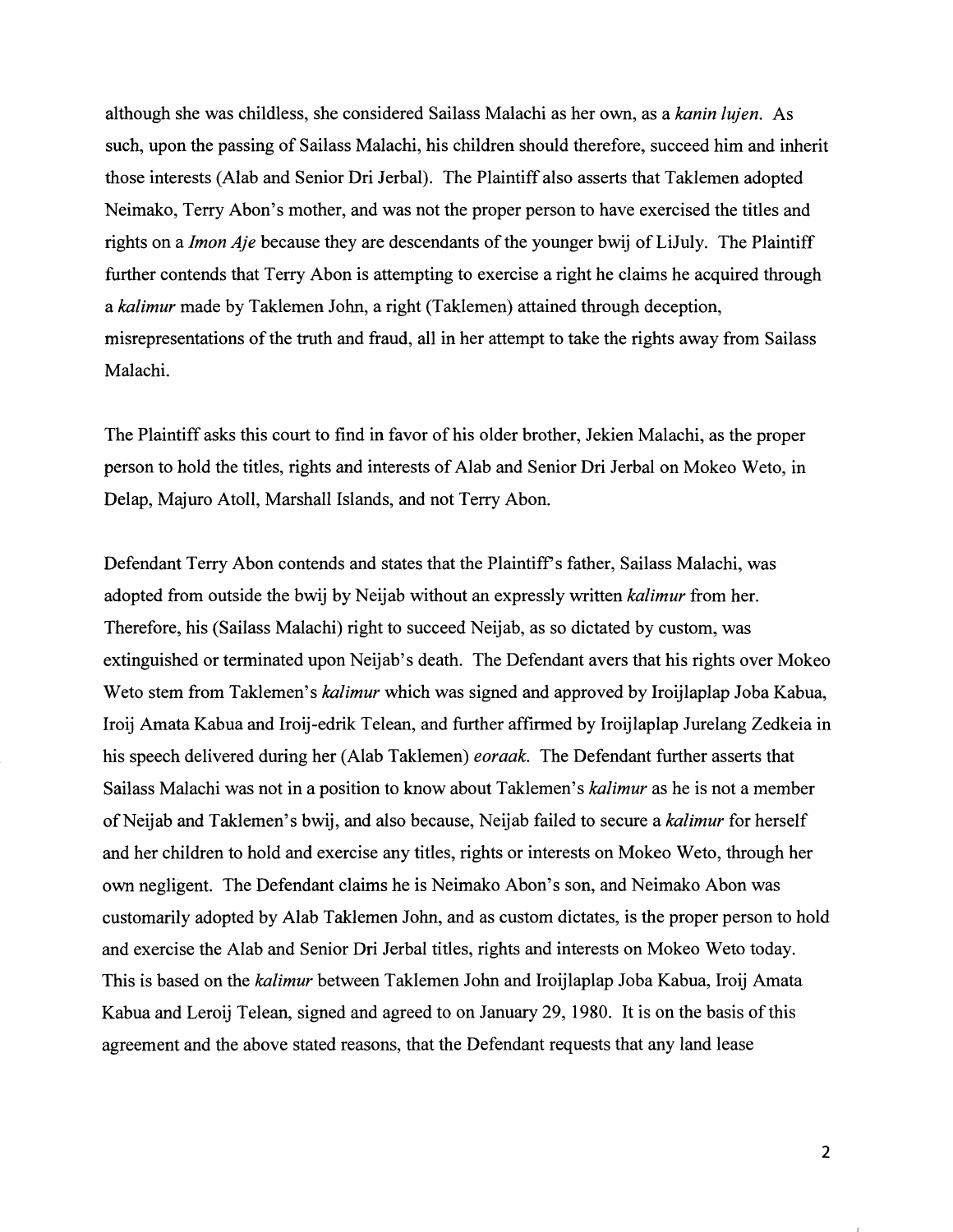although she was childless, she considered Sailass Malachi as her own, as a *kanin lujen.* As such, upon the passing of Sailass Malachi, his children should therefore, succeed him and inherit those interests (Alab and Senior Dri Jerbal). The Plaintiff also asserts that Taklemen adopted Neimako, Terry Abon's mother, and was not the proper person to have exercised the titles and rights on a *Imon Aje* because they are descendants of the younger bwij of LiJuly. The Plaintiff further contends that Terry Abon is attempting to exercise a right he claims he acquired through a *kalimur* made by Taklemen John, a right (Taklemen) attained through deception, misrepresentations of the truth and fraud, all in her attempt to take the rights away from Sailass Malachi.

The Plaintiff asks this court to find in favor of his older brother, Jekien Malachi, as the proper person to hold the titles, rights and interests of Alab and Senior Dri Jerbal on Mokeo Weto, in Delap, Majuro Atoll, Marshall Islands, and not Terry Abon.

Defendant Terry Abon contends and states that the Plaintiff's father, Sailass Malachi, was adopted from outside the bwij by Neijab without an expressly written *kalimur* from her. Therefore, his (Sailass Malachi) right to succeed Neijab, as so dictated by custom, was extinguished or terminated upon Neijab's death. The Defendant avers that his rights over Mokeo Weto stem from Taklemen's *kalimur* which was signed and approved by Iroijlaplap Joba Kabua, Iroij Amata Kabua and Iroij-edrik Telean, and further affirmed by Iroijlaplap Jurelang Zedkeia in his speech delivered during her (Alab Taklemen) *eoraak.* The Defendant further asserts that Sailass Malachi was not in a position to know about Taklemen's *kalimur* as he is not a member ofNeijab and Taklemen's bwij, and also because, Neijab failed to secure a *kalimur* for herself and her children to hold and exercise any titles, rights or interests on Mokeo Weto, through her own negligent. The Defendant claims he is Neimako A bon's son, and Neimako A bon was customarily adopted by Alab Taklemen John, and as custom dictates, is the proper person to hold and exercise the Alab and Senior Dri Jerbal titles, rights and interests on Mokeo Weto today. This is based on the *kalimur* between Taklemen John and Iroijlaplap Joba Kabua, lroij Amata Kabua and Leroij Telean, signed and agreed to on January 29, 1980. It is on the basis of this agreement and the above stated reasons, that the Defendant requests that any land lease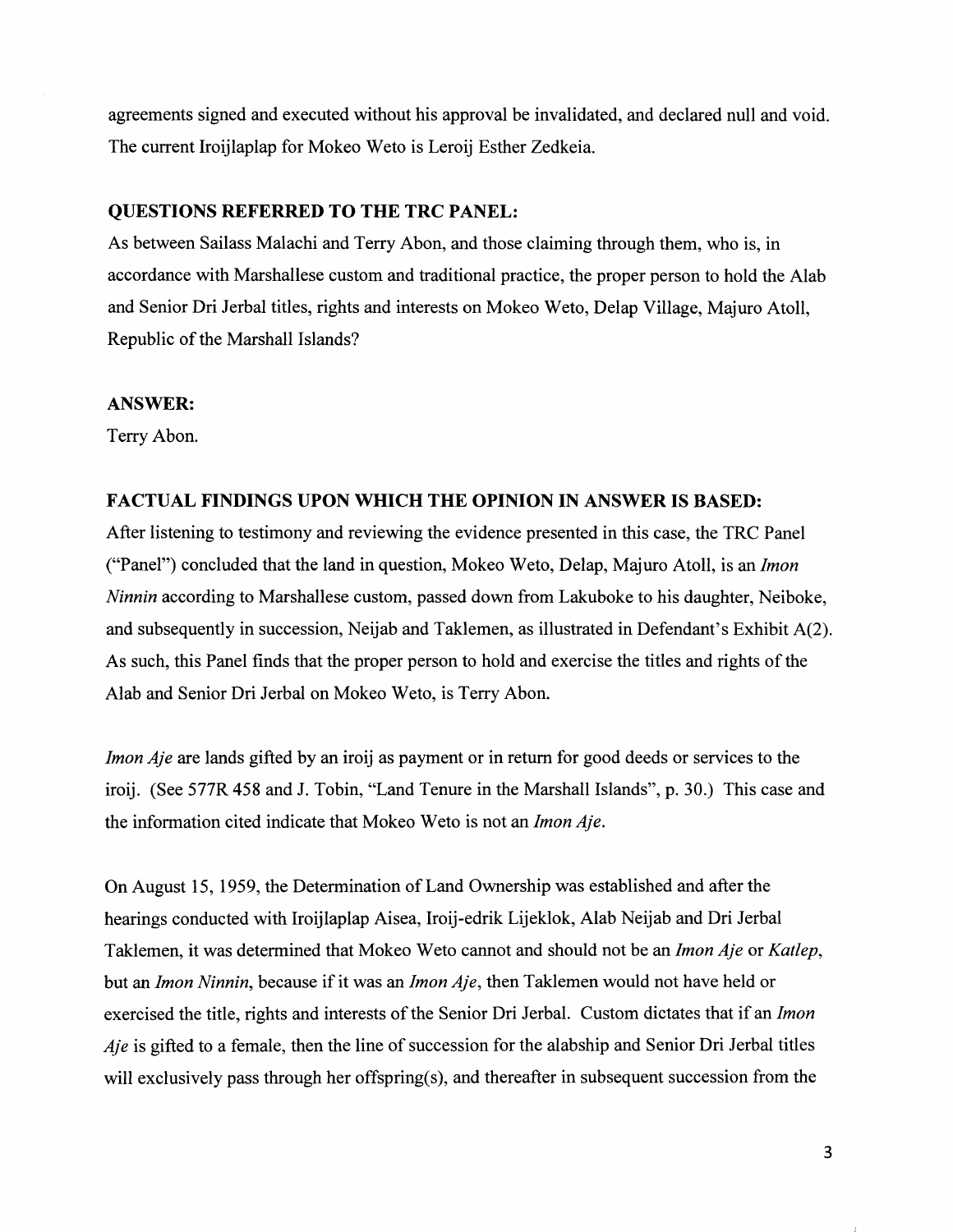agreements signed and executed without his approval be invalidated, and declared null and void. The current Iroijlaplap for Mokeo Weto is Leroij Esther Zedkeia.

#### **QUESTIONS REFERRED TO THE TRC PANEL:**

As between Sailass Malachi and Terry Abon, and those claiming through them, who is, in accordance with Marshallese custom and traditional practice, the proper person to hold the Alab and Senior Dri Jerbal titles, rights and interests on Mokeo Weto, Delap Village, Majuro Atoll, Republic of the Marshall Islands?

#### **ANSWER:**

Terry Abon.

### **FACTUAL FINDINGS UPON WHICH THE OPINION IN ANSWER IS BASED:**

After listening to testimony and reviewing the evidence presented in this case, the TRC Panel ("Panel") concluded that the land in question, Mokeo Weto, Delap, Majuro Atoll, is an *Imon Ninnin* according to Marshallese custom, passed down from Lakuboke to his daughter, Neiboke, and subsequently in succession, Neijab and Taklemen, as illustrated in Defendant's Exhibit A(2). As such, this Panel finds that the proper person to hold and exercise the titles and rights of the Alab and Senior Dri Jerbal on Mokeo Weto, is Terry Abon.

*Imon Aje* are lands gifted by an iroij as payment or in return for good deeds or services to the iroij. (See 577R 458 and J. Tobin, "Land Tenure in the Marshall Islands", p. 30.) This case and the information cited indicate that Mokeo Weto is not an *Imon Aje.* 

On August 15, 1959, the Determination of Land Ownership was established and after the hearings conducted with Iroijlaplap Aisea, Iroij-edrik Lijeklok, Alab Neijab and Dri Jerbal Taklemen, it was determined that Mokeo Weto cannot and should not be an *Imon Aje* or *Katlep*, but an *Imon Ninnin,* because if it was an *Imon Aje,* then Taklemen would not have held or exercised the title, rights and interests of the Senior Dri Jerbal. Custom dictates that if an *Imon Aje* is gifted to a female, then the line of succession for the alabship and Senior Dri Jerbal titles will exclusively pass through her offspring(s), and thereafter in subsequent succession from the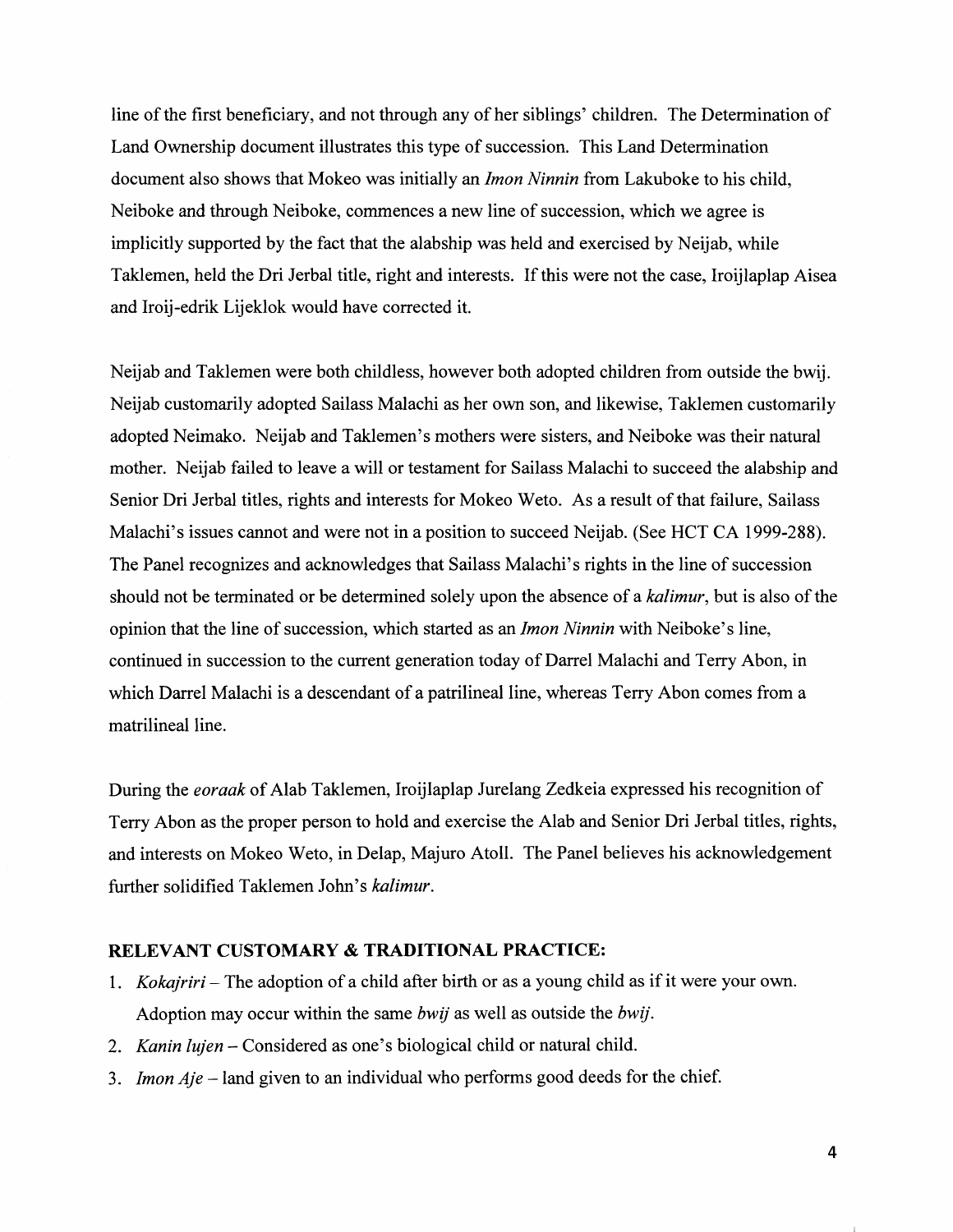line of the first beneficiary, and not through any of her siblings' children. The Determination of Land Ownership document illustrates this type of succession. This Land Determination document also shows that Mokeo was initially an *Imon Ninnin* from Lakuboke to his child, Neiboke and through Neiboke, commences a new line of succession, which we agree is implicitly supported by the fact that the alabship was held and exercised by Neijab, while Taklemen, held the Dri Jerbal title, right and interests. If this were not the case, Iroijlaplap Aisea and Iroij-edrik Lijeklok would have corrected it.

Neijab and Taklemen were both childless, however both adopted children from outside the bwij. Neijab customarily adopted Sailass Malachi as her own son, and likewise, Taklemen customarily adopted Neimako. Neijab and Taklemen's mothers were sisters, and Neiboke was their natural mother. Neijab failed to leave a will or testament for Sailass Malachi to succeed the alabship and Senior Dri Jerbal titles, rights and interests for Mokeo Weto. As a result of that failure, Sailass Malachi's issues cannot and were not in a position to succeed Neijab. (See HCT CA 1999-288). The Panel recognizes and acknowledges that Sailass Malachi's rights in the line of succession should not be terminated or be determined solely upon the absence of a *kalimur,* but is also of the opinion that the line of succession, which started as an *Imon Ninnin* with Neiboke's line, continued in succession to the current generation today of Darrel Malachi and Terry Abon, in which Darrel Malachi is a descendant of a patrilineal line, whereas Terry Abon comes from a matrilineal line.

During the *eoraak* of Alab Taklemen, Iroijlaplap Jurelang Zedkeia expressed his recognition of Terry Abon as the proper person to hold and exercise the Alab and Senior Dri Jerbal titles, rights, and interests on Mokeo Weto, in Delap, Majuro Atoll. The Panel believes his acknowledgement further solidified Taklemen John's *kalimur.* 

### **RELEVANT CUSTOMARY & TRADITIONAL PRACTICE:**

- 1. *Kokajriri-* The adoption of a child after birth or as a young child as if it were your own. Adoption may occur within the same *bwij* as well as outside the *bwij.*
- 2. *Kanin lujen-* Considered as one's biological child or natural child.
- 3. *Imon Aje* -land given to an individual who performs good deeds for the chief.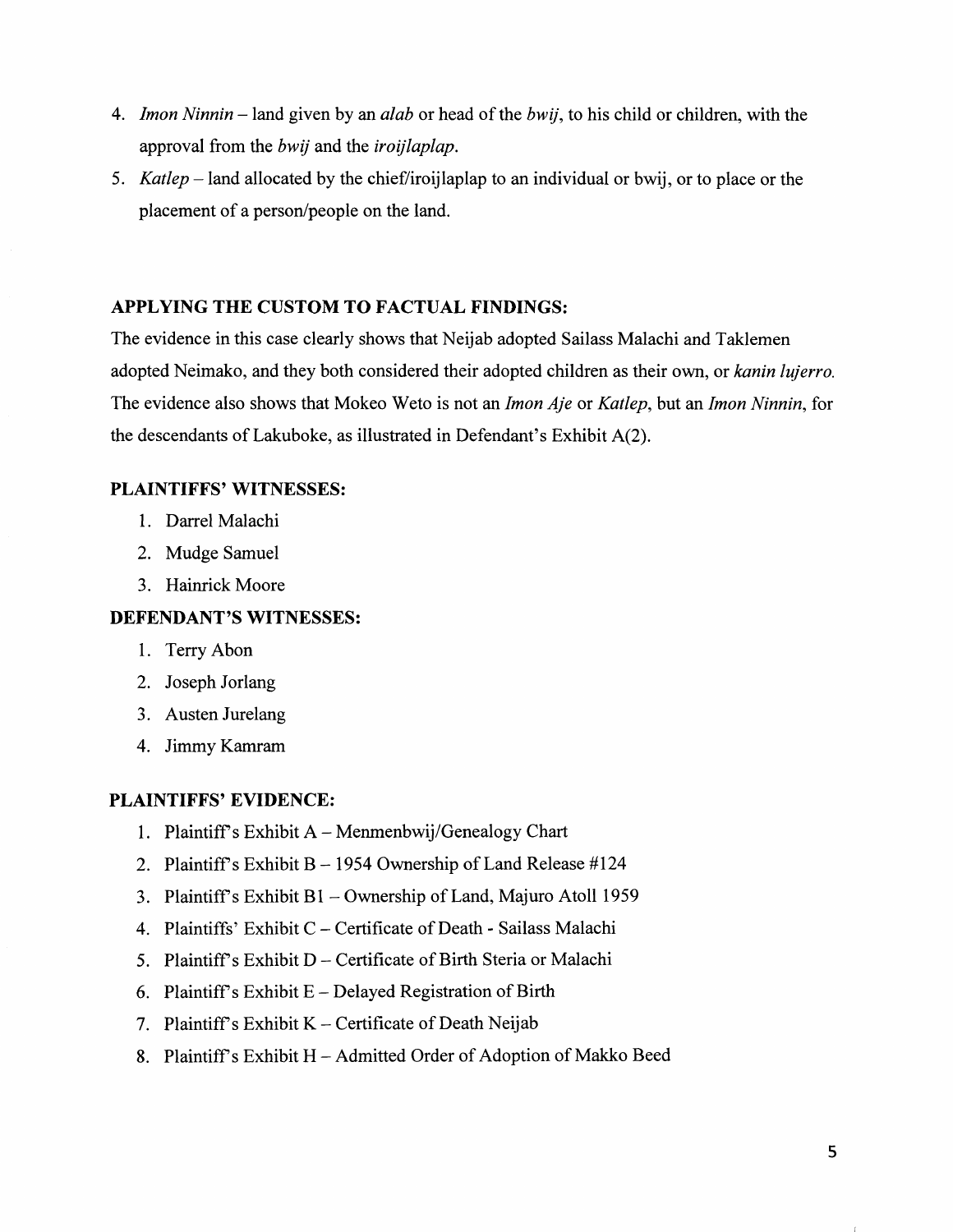- 4. *Imon Ninnin*  land given by an *alab* or head of the *bwij,* to his child or children, with the approval from the *bwij* and the *iroijlaplap.*
- 5. *Katlep* -land allocated by the chief/iroijlaplap to an individual or bwij, or to place or the placement of a person/people on the land.

### **APPLYING THE CUSTOM TO FACTUAL FINDINGS:**

The evidence in this case clearly shows that Neijab adopted Sailass Malachi and Taklemen adopted Neimako, and they both considered their adopted children as their own, or *kanin lujerro.*  The evidence also shows that Mokeo W eto is not an *Imon Aje* or *Katlep,* but an *Imon Ninnin,* for the descendants of Lakuboke, as illustrated in Defendant's Exhibit  $A(2)$ .

### **PLAINTIFFS' WITNESSES:**

- 1. Darrel Malachi
- 2. Mudge Samuel
- 3. Hainrick Moore

## **DEFENDANT'S WITNESSES:**

- 1. Terry Abon
- 2. Joseph Jorlang
- 3. Austen Jurelang
- 4. Jimmy Kamram

# **PLAINTIFFS' EVIDENCE:**

- 1. Plaintiff's Exhibit  $A M$ enmenbwij/Genealogy Chart
- 2. Plaintiff's Exhibit B 1954 Ownership of Land Release  $\#124$
- 3. Plaintiff's Exhibit  $B1 -$  Ownership of Land, Majuro Atoll 1959
- 4. Plaintiffs' Exhibit C- Certificate of Death- Sailass Malachi
- 5. Plaintiff's Exhibit D Certificate of Birth Steria or Malachi
- 6. Plaintiff's Exhibit  $E$  Delayed Registration of Birth
- 7. Plaintiff's Exhibit  $K$  Certificate of Death Neijab
- 8. Plaintiff's Exhibit H Admitted Order of Adoption of Makko Beed